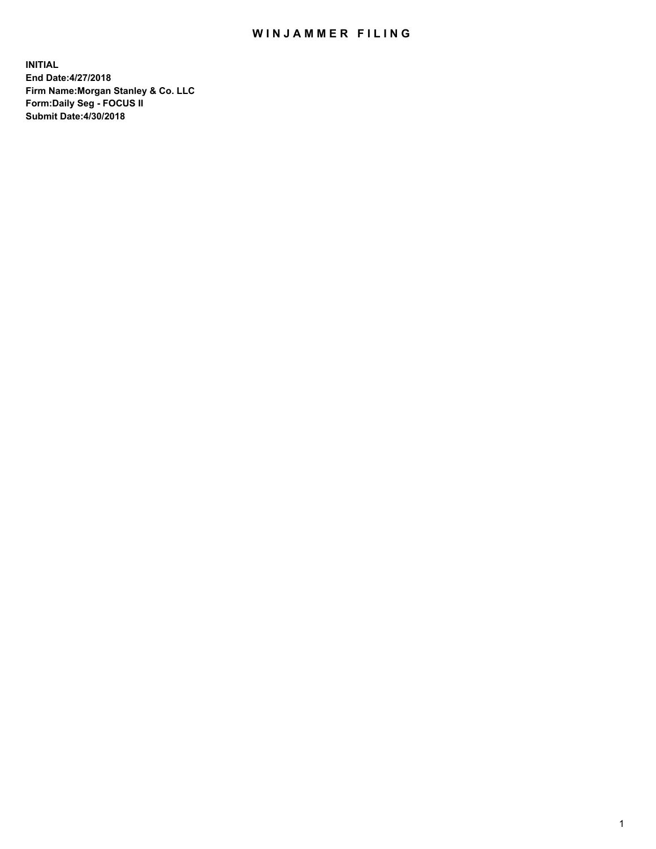## WIN JAMMER FILING

**INITIAL End Date:4/27/2018 Firm Name:Morgan Stanley & Co. LLC Form:Daily Seg - FOCUS II Submit Date:4/30/2018**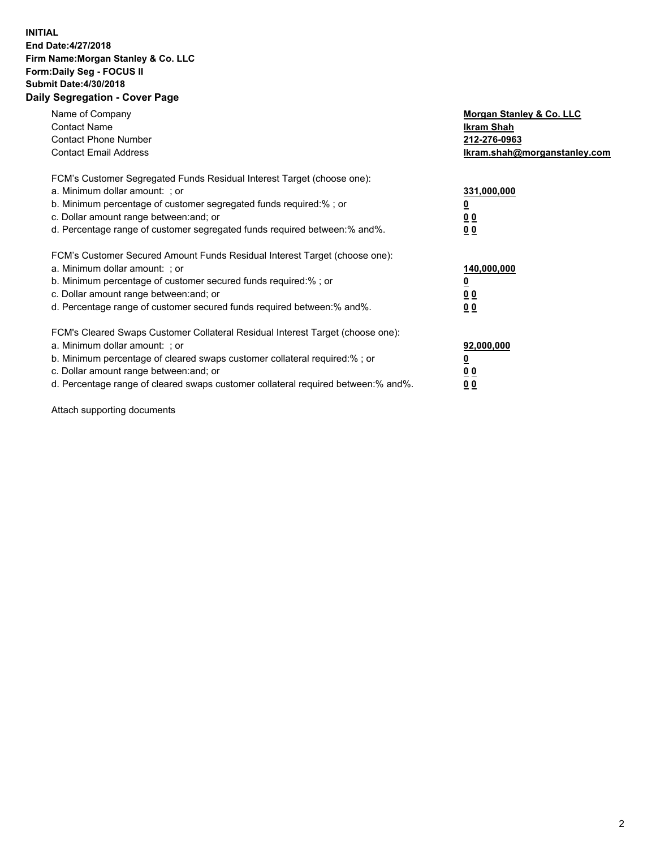## **INITIAL End Date:4/27/2018 Firm Name:Morgan Stanley & Co. LLC Form:Daily Seg - FOCUS II Submit Date:4/30/2018 Daily Segregation - Cover Page**

| Name of Company<br><b>Contact Name</b><br><b>Contact Phone Number</b><br><b>Contact Email Address</b>                                                                                                                                                                                                                          | Morgan Stanley & Co. LLC<br>Ikram Shah<br>212-276-0963<br>lkram.shah@morganstanley.com |
|--------------------------------------------------------------------------------------------------------------------------------------------------------------------------------------------------------------------------------------------------------------------------------------------------------------------------------|----------------------------------------------------------------------------------------|
| FCM's Customer Segregated Funds Residual Interest Target (choose one):<br>a. Minimum dollar amount: ; or<br>b. Minimum percentage of customer segregated funds required:%; or<br>c. Dollar amount range between: and; or<br>d. Percentage range of customer segregated funds required between: % and %.                        | 331,000,000<br><u>0</u><br>0 <sub>0</sub><br><u>00</u>                                 |
| FCM's Customer Secured Amount Funds Residual Interest Target (choose one):<br>a. Minimum dollar amount: ; or<br>b. Minimum percentage of customer secured funds required:%; or<br>c. Dollar amount range between: and; or<br>d. Percentage range of customer secured funds required between: % and %.                          | 140,000,000<br>0 <sub>0</sub><br>0 <sub>0</sub>                                        |
| FCM's Cleared Swaps Customer Collateral Residual Interest Target (choose one):<br>a. Minimum dollar amount: ; or<br>b. Minimum percentage of cleared swaps customer collateral required:% ; or<br>c. Dollar amount range between: and; or<br>d. Percentage range of cleared swaps customer collateral required between:% and%. | 92,000,000<br>0 <sub>0</sub><br>0 <sub>0</sub>                                         |

Attach supporting documents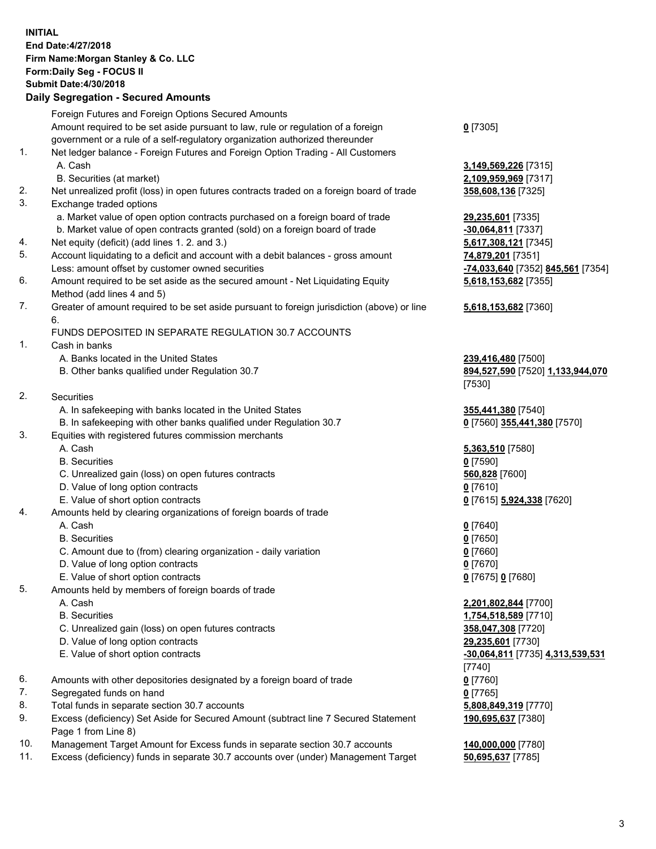## **INITIAL End Date:4/27/2018 Firm Name:Morgan Stanley & Co. LLC Form:Daily Seg - FOCUS II Submit Date:4/30/2018**

**Daily Segregation - Secured Amounts** Foreign Futures and Foreign Options Secured Amounts Amount required to be set aside pursuant to law, rule or regulation of a foreign government or a rule of a self-regulatory organization authorized thereunder 1. Net ledger balance - Foreign Futures and Foreign Option Trading - All Customers A. Cash **3,149,569,226** [7315] B. Securities (at market) **2,109,959,969** [7317] 2. Net unrealized profit (loss) in open futures contracts traded on a foreign board of trade **358,608,136** [7325] 3. Exchange traded options a. Market value of open option contracts purchased on a foreign board of trade **29,235,601** [7335] b. Market value of open contracts granted (sold) on a foreign board of trade **-30,064,811** [7337] 4. Net equity (deficit) (add lines 1. 2. and 3.) **5,617,308,121** [7345] 5. Account liquidating to a deficit and account with a debit balances - gross amount **74,879,201** [7351] Less: amount offset by customer owned securities **-74,033,640** [7352] **845,561** [7354] 6. Amount required to be set aside as the secured amount - Net Liquidating Equity Method (add lines 4 and 5) 7. Greater of amount required to be set aside pursuant to foreign jurisdiction (above) or line 6. FUNDS DEPOSITED IN SEPARATE REGULATION 30.7 ACCOUNTS 1. Cash in banks A. Banks located in the United States **239,416,480** [7500] B. Other banks qualified under Regulation 30.7 **894,527,590** [7520] **1,133,944,070** [7530] 2. Securities A. In safekeeping with banks located in the United States **355,441,380** [7540] B. In safekeeping with other banks qualified under Regulation 30.7 **0** [7560] **355,441,380** [7570] 3. Equities with registered futures commission merchants A. Cash **5,363,510** [7580] B. Securities **0** [7590] C. Unrealized gain (loss) on open futures contracts **560,828** [7600] D. Value of long option contracts **0** [7610] E. Value of short option contracts **0** [7615] **5,924,338** [7620] 4. Amounts held by clearing organizations of foreign boards of trade A. Cash **0** [7640] B. Securities **0** [7650] C. Amount due to (from) clearing organization - daily variation **0** [7660] D. Value of long option contracts **0** [7670] E. Value of short option contracts **0** [7675] **0** [7680] 5. Amounts held by members of foreign boards of trade A. Cash **2,201,802,844** [7700] B. Securities **1,754,518,589** [7710] C. Unrealized gain (loss) on open futures contracts **358,047,308** [7720]

- D. Value of long option contracts **29,235,601** [7730]
- 
- 6. Amounts with other depositories designated by a foreign board of trade **0** [7760]
- 7. Segregated funds on hand **0** [7765]
- 8. Total funds in separate section 30.7 accounts **5,808,849,319** [7770]
- 9. Excess (deficiency) Set Aside for Secured Amount (subtract line 7 Secured Statement Page 1 from Line 8)
- 10. Management Target Amount for Excess funds in separate section 30.7 accounts **140,000,000** [7780]
- 11. Excess (deficiency) funds in separate 30.7 accounts over (under) Management Target **50,695,637** [7785]

**0** [7305]

**5,618,153,682** [7355]

## **5,618,153,682** [7360]

 E. Value of short option contracts **-30,064,811** [7735] **4,313,539,531** [7740] **190,695,637** [7380]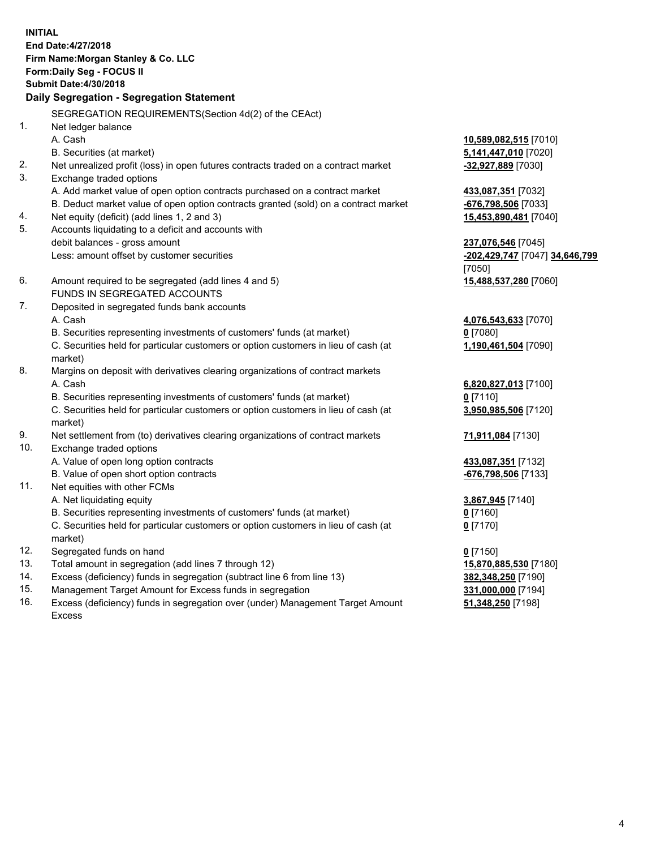**INITIAL End Date:4/27/2018 Firm Name:Morgan Stanley & Co. LLC Form:Daily Seg - FOCUS II Submit Date:4/30/2018 Daily Segregation - Segregation Statement** SEGREGATION REQUIREMENTS(Section 4d(2) of the CEAct) 1. Net ledger balance A. Cash **10,589,082,515** [7010] B. Securities (at market) **5,141,447,010** [7020] 2. Net unrealized profit (loss) in open futures contracts traded on a contract market **-32,927,889** [7030] 3. Exchange traded options A. Add market value of open option contracts purchased on a contract market **433,087,351** [7032] B. Deduct market value of open option contracts granted (sold) on a contract market **-676,798,506** [7033] 4. Net equity (deficit) (add lines 1, 2 and 3) **15,453,890,481** [7040] 5. Accounts liquidating to a deficit and accounts with debit balances - gross amount **237,076,546** [7045] Less: amount offset by customer securities **-202,429,747** [7047] **34,646,799** [7050] 6. Amount required to be segregated (add lines 4 and 5) **15,488,537,280** [7060] FUNDS IN SEGREGATED ACCOUNTS 7. Deposited in segregated funds bank accounts A. Cash **4,076,543,633** [7070] B. Securities representing investments of customers' funds (at market) **0** [7080] C. Securities held for particular customers or option customers in lieu of cash (at market) **1,190,461,504** [7090] 8. Margins on deposit with derivatives clearing organizations of contract markets A. Cash **6,820,827,013** [7100] B. Securities representing investments of customers' funds (at market) **0** [7110] C. Securities held for particular customers or option customers in lieu of cash (at market) **3,950,985,506** [7120] 9. Net settlement from (to) derivatives clearing organizations of contract markets **71,911,084** [7130] 10. Exchange traded options A. Value of open long option contracts **433,087,351** [7132] B. Value of open short option contracts **-676,798,506** [7133] 11. Net equities with other FCMs A. Net liquidating equity **3,867,945** [7140] B. Securities representing investments of customers' funds (at market) **0** [7160] C. Securities held for particular customers or option customers in lieu of cash (at market) **0** [7170] 12. Segregated funds on hand **0** [7150] 13. Total amount in segregation (add lines 7 through 12) **15,870,885,530** [7180] 14. Excess (deficiency) funds in segregation (subtract line 6 from line 13) **382,348,250** [7190]

- 15. Management Target Amount for Excess funds in segregation **331,000,000** [7194]
- 16. Excess (deficiency) funds in segregation over (under) Management Target Amount Excess

**51,348,250** [7198]